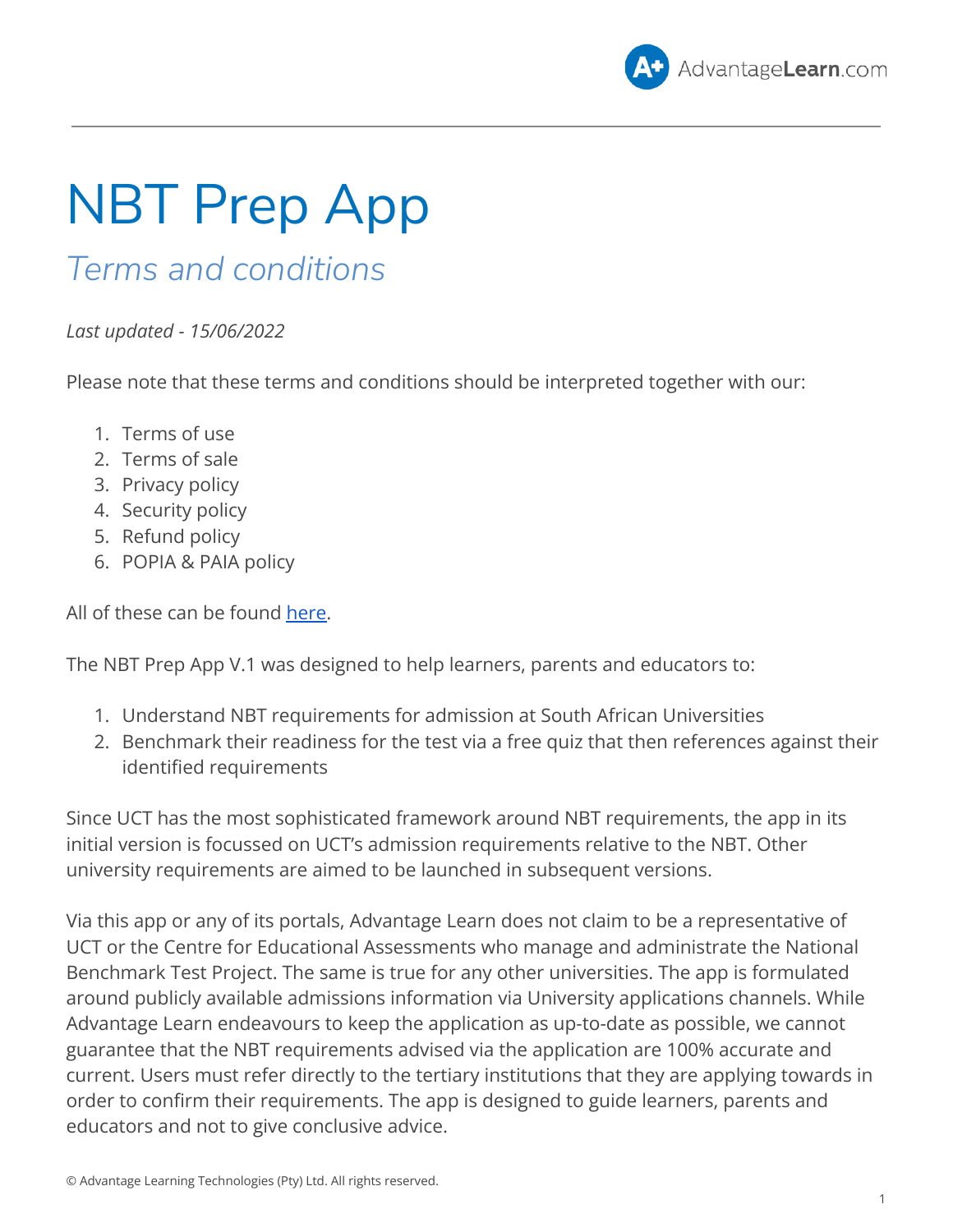

## NBT Prep App

## *Terms and conditions*

*Last updated - 15/06/2022*

Please note that these terms and conditions should be interpreted together with our:

- 1. Terms of use
- 2. Terms of sale
- 3. Privacy policy
- 4. Security policy
- 5. Refund policy
- 6. POPIA & PAIA policy

All of these can be found [here.](https://advantagelearn.com/advantage-learn-terms/)

The NBT Prep App V.1 was designed to help learners, parents and educators to:

- 1. Understand NBT requirements for admission at South African Universities
- 2. Benchmark their readiness for the test via a free quiz that then references against their identified requirements

Since UCT has the most sophisticated framework around NBT requirements, the app in its initial version is focussed on UCT's admission requirements relative to the NBT. Other university requirements are aimed to be launched in subsequent versions.

Via this app or any of its portals, Advantage Learn does not claim to be a representative of UCT or the Centre for Educational Assessments who manage and administrate the National Benchmark Test Project. The same is true for any other universities. The app is formulated around publicly available admissions information via University applications channels. While Advantage Learn endeavours to keep the application as up-to-date as possible, we cannot guarantee that the NBT requirements advised via the application are 100% accurate and current. Users must refer directly to the tertiary institutions that they are applying towards in order to confirm their requirements. The app is designed to guide learners, parents and educators and not to give conclusive advice.